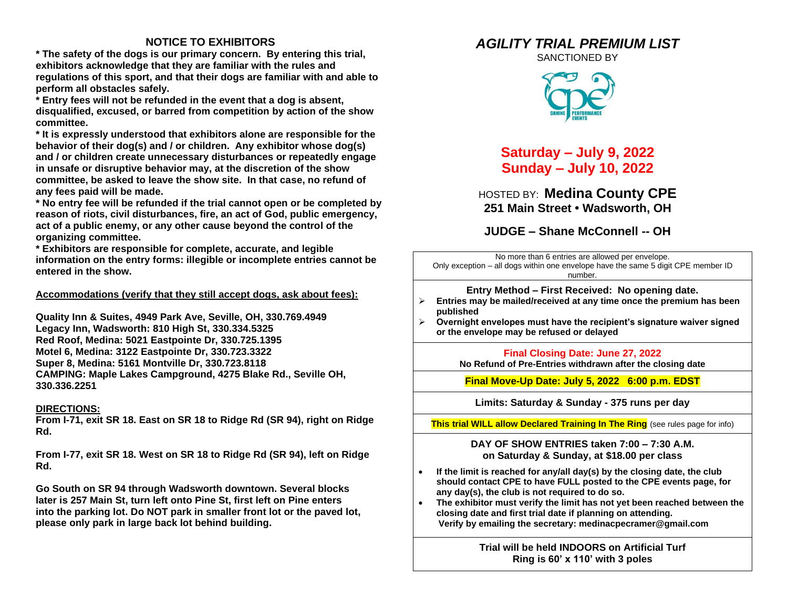### **NOTICE TO EXHIBITORS**

**\* The safety of the dogs is our primary concern. By entering this trial, exhibitors acknowledge that they are familiar with the rules and regulations of this sport, and that their dogs are familiar with and able to perform all obstacles safely.**

**\* Entry fees will not be refunded in the event that a dog is absent, disqualified, excused, or barred from competition by action of the show committee.** 

**\* It is expressly understood that exhibitors alone are responsible for the behavior of their dog(s) and / or children. Any exhibitor whose dog(s) and / or children create unnecessary disturbances or repeatedly engage in unsafe or disruptive behavior may, at the discretion of the show committee, be asked to leave the show site. In that case, no refund of any fees paid will be made.**

**\* No entry fee will be refunded if the trial cannot open or be completed by reason of riots, civil disturbances, fire, an act of God, public emergency, act of a public enemy, or any other cause beyond the control of the organizing committee.**

**\* Exhibitors are responsible for complete, accurate, and legible information on the entry forms: illegible or incomplete entries cannot be entered in the show.**

#### **Accommodations (verify that they still accept dogs, ask about fees):**

**Quality Inn & Suites, 4949 Park Ave, Seville, OH, 330.769.4949 Legacy Inn, Wadsworth: 810 High St, 330.334.5325 Red Roof, Medina: 5021 Eastpointe Dr, 330.725.1395 Motel 6, Medina: 3122 Eastpointe Dr, 330.723.3322 Super 8, Medina: 5161 Montville Dr, 330.723.8118 CAMPING: Maple Lakes Campground, 4275 Blake Rd., Seville OH, 330.336.2251**

#### **DIRECTIONS:**

**From I-71, exit SR 18. East on SR 18 to Ridge Rd (SR 94), right on Ridge Rd.**

**From I-77, exit SR 18. West on SR 18 to Ridge Rd (SR 94), left on Ridge Rd.**

**Go South on SR 94 through Wadsworth downtown. Several blocks later is 257 Main St, turn left onto Pine St, first left on Pine enters into the parking lot. Do NOT park in smaller front lot or the paved lot, please only park in large back lot behind building.**

# *AGILITY TRIAL PREMIUM LIST*

SANCTIONED BY



**Saturday – July 9, 2022 Sunday – July 10, 2022**

HOSTED BY: **Medina County CPE 251 Main Street • Wadsworth, OH**

**JUDGE – Shane McConnell -- OH**

No more than 6 entries are allowed per envelope. Only exception – all dogs within one envelope have the same 5 digit CPE member ID number.

**Entry Method – First Received: No opening date.**

- ➢ **Entries may be mailed/received at any time once the premium has been published**
- ➢ **Overnight envelopes must have the recipient's signature waiver signed or the envelope may be refused or delayed**

**Final Closing Date: June 27, 2022**

**No Refund of Pre-Entries withdrawn after the closing date**

**Final Move-Up Date: July 5, 2022 6:00 p.m. EDST**

**Limits: Saturday & Sunday - 375 runs per day**

**This trial WILL allow Declared Training In The Ring** (see rules page for info)

**DAY OF SHOW ENTRIES taken 7:00 – 7:30 A.M. on Saturday & Sunday, at \$18.00 per class**

- **If the limit is reached for any/all day(s) by the closing date, the club should contact CPE to have FULL posted to the CPE events page, for any day(s), the club is not required to do so.**
- **The exhibitor must verify the limit has not yet been reached between the closing date and first trial date if planning on attending. Verify by emailing the secretary: medinacpecramer@gmail.com**

**Trial will be held INDOORS on Artificial Turf Ring is 60' x 110' with 3 poles**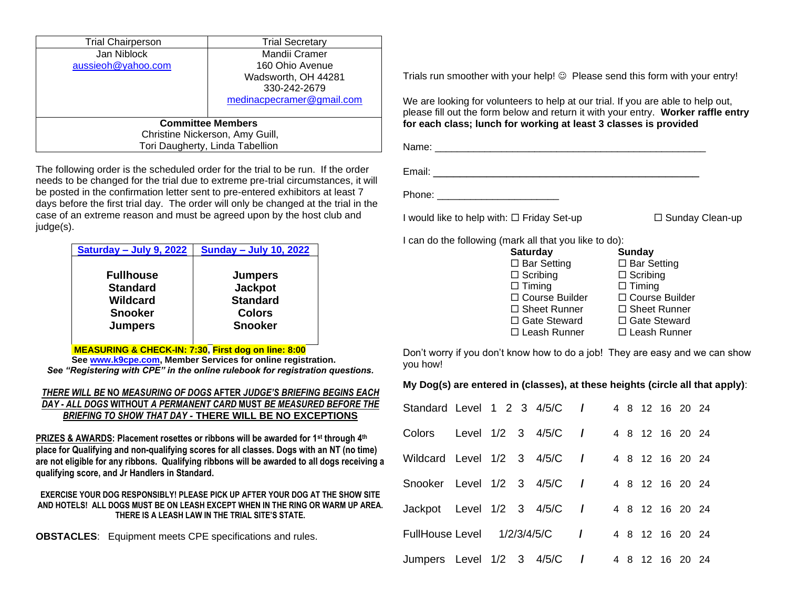| <b>Trial Chairperson</b>        | <b>Trial Secretary</b>    |  |  |  |  |
|---------------------------------|---------------------------|--|--|--|--|
| Jan Niblock                     | Mandii Cramer             |  |  |  |  |
| aussieoh@yahoo.com              | 160 Ohio Avenue           |  |  |  |  |
|                                 | Wadsworth, OH 44281       |  |  |  |  |
|                                 | 330-242-2679              |  |  |  |  |
|                                 | medinacpecramer@gmail.com |  |  |  |  |
|                                 |                           |  |  |  |  |
| <b>Committee Members</b>        |                           |  |  |  |  |
| Christine Nickerson, Amy Guill, |                           |  |  |  |  |
| Tori Daugherty, Linda Tabellion |                           |  |  |  |  |

The following order is the scheduled order for the trial to be run. If the order needs to be changed for the trial due to extreme pre-trial circumstances, it will be posted in the confirmation letter sent to pre-entered exhibitors at least 7 days before the first trial day. The order will only be changed at the trial in the case of an extreme reason and must be agreed upon by the host club and judge(s).

| Saturday - July 9, 2022 | <b>Sunday - July 10, 2022</b> |  |  |
|-------------------------|-------------------------------|--|--|
| <b>Fullhouse</b>        | <b>Jumpers</b>                |  |  |
| <b>Standard</b>         | <b>Jackpot</b>                |  |  |
| Wildcard                | <b>Standard</b>               |  |  |
| <b>Snooker</b>          | <b>Colors</b>                 |  |  |
| <b>Jumpers</b>          | <b>Snooker</b>                |  |  |

**MEASURING & CHECK-IN: 7:30, First dog on line: 8:00**

**Se[e www.k9cpe.com,](http://www.k9cpe.com/) Member Services for online registration.** *See "Registering with CPE" in the online rulebook for registration questions.*

#### *THERE WILL BE* **NO** *MEASURING OF DOGS* **AFTER** *JUDGE'S BRIEFING BEGINS EACH DAY - ALL DOGS* **WITHOUT** *A PERMANENT CARD* **MUST** *BE MEASURED BEFORE THE BRIEFING TO SHOW THAT DAY -* **THERE WILL BE NO EXCEPTIONS**

**PRIZES & AWARDS: Placement rosettes or ribbons will be awarded for 1st through 4th place for Qualifying and non-qualifying scores for all classes. Dogs with an NT (no time) are not eligible for any ribbons. Qualifying ribbons will be awarded to all dogs receiving a qualifying score, and Jr Handlers in Standard.**

#### **EXERCISE YOUR DOG RESPONSIBLY! PLEASE PICK UP AFTER YOUR DOG AT THE SHOW SITE AND HOTELS! ALL DOGS MUST BE ON LEASH EXCEPT WHEN IN THE RING OR WARM UP AREA. THERE IS A LEASH LAW IN THE TRIAL SITE'S STATE.**

**OBSTACLES**: Equipment meets CPE specifications and rules.

Trials run smoother with your help! © Please send this form with your entry!

We are looking for volunteers to help at our trial. If you are able to help out, please fill out the form below and return it with your entry. **Worker raffle entry for each class; lunch for working at least 3 classes is provided**

Name: <u>with the compact of the compact of the compact of the compact of the compact of the compact of the compact of the compact of the compact of the compact of the compact of the compact of the compact of the compact of </u>

Email: \_\_\_\_\_\_\_\_\_\_\_\_\_\_\_\_\_\_\_\_\_\_\_\_\_\_\_\_\_\_\_\_\_\_\_\_\_\_\_\_

Phone:

I would like to help with: Friday Set-up Sunday Clean-up

I can do the following (mark all that you like to do):

Don't worry if you don't know how to do a job! They are easy and we can show you how!

#### **My Dog(s) are entered in (classes), at these heights (circle all that apply)**:

| Standard Level 1 2 3 4/5/C / |  |                 |  |  | 4 8 12 16 20 24 |  |
|------------------------------|--|-----------------|--|--|-----------------|--|
| Colors Level 1/2 3 4/5/C /   |  |                 |  |  | 4 8 12 16 20 24 |  |
| Wildcard Level 1/2 3 4/5/C / |  |                 |  |  | 4 8 12 16 20 24 |  |
| Snooker Level 1/2 3 4/5/C    |  |                 |  |  | 4 8 12 16 20 24 |  |
| Jackpot Level 1/2 3 4/5/C /  |  |                 |  |  | 4 8 12 16 20 24 |  |
| <b>FullHouse Level</b>       |  | $1/2/3/4/5/C$ / |  |  | 4 8 12 16 20 24 |  |
| Jumpers Level 1/2 3 4/5/C /  |  |                 |  |  | 4 8 12 16 20 24 |  |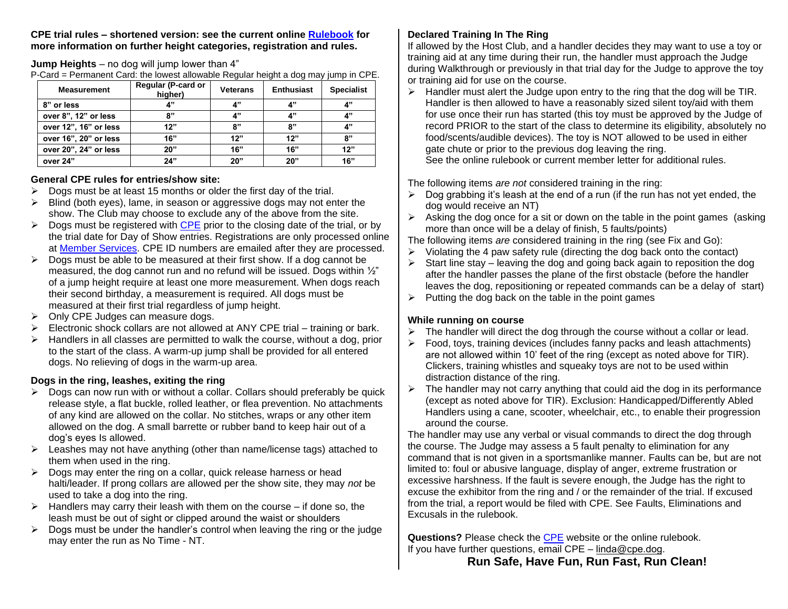#### **CPE trial rules – shortened version: see the current online [Rulebook](http://www.k9cpe.com/rcall2007.htm) for more information on further height categories, registration and rules.**

#### **Jump Heights** – no dog will jump lower than 4"

P-Card = Permanent Card: the lowest allowable Regular height a dog may jump in CPE.

| <b>Measurement</b>    | Regular (P-card or<br>higher) | <b>Veterans</b> | <b>Enthusiast</b> | <b>Specialist</b> |
|-----------------------|-------------------------------|-----------------|-------------------|-------------------|
| 8" or less            | 4"                            | 4"              | 4"                | 4"                |
| over 8", 12" or less  | 8"                            | 4"              | 4"                | 4"                |
| over 12", 16" or less | 12"                           | 8"              | 8"                | 4"                |
| over 16", 20" or less | 16"                           | 12"             | 12"               | 8"                |
| over 20", 24" or less | 20"                           | 16"             | 16"               | 12"               |
| over 24"              | 24"                           | 20"             | 20"               | 16"               |

#### **General CPE rules for entries/show site:**

- $\triangleright$  Dogs must be at least 15 months or older the first day of the trial.
- ➢ Blind (both eyes), lame, in season or aggressive dogs may not enter the show. The Club may choose to exclude any of the above from the site.
- $\triangleright$  Dogs must be registered with [CPE](http://www.k9cpe.com/index.htm) prior to the closing date of the trial, or by the trial date for Day of Show entries. Registrations are only processed online at [Member Services.](https://www.k9cpe.com/memberservices) CPE ID numbers are emailed after they are processed.
- $\triangleright$  Dogs must be able to be measured at their first show. If a dog cannot be measured, the dog cannot run and no refund will be issued. Dogs within ½" of a jump height require at least one more measurement. When dogs reach their second birthday, a measurement is required. All dogs must be measured at their first trial regardless of jump height.
- ➢ Only CPE Judges can measure dogs.
- $\triangleright$  Electronic shock collars are not allowed at ANY CPE trial training or bark.
- $\triangleright$  Handlers in all classes are permitted to walk the course, without a dog, prior to the start of the class. A warm-up jump shall be provided for all entered dogs. No relieving of dogs in the warm-up area.

### **Dogs in the ring, leashes, exiting the ring**

- $\triangleright$  Dogs can now run with or without a collar. Collars should preferably be quick release style, a flat buckle, rolled leather, or flea prevention. No attachments of any kind are allowed on the collar. No stitches, wraps or any other item allowed on the dog. A small barrette or rubber band to keep hair out of a dog's eyes Is allowed.
- $\triangleright$  Leashes may not have anything (other than name/license tags) attached to them when used in the ring.
- Dogs may enter the ring on a collar, quick release harness or head halti/leader. If prong collars are allowed per the show site, they may *not* be used to take a dog into the ring.
- $\triangleright$  Handlers may carry their leash with them on the course if done so, the leash must be out of sight or clipped around the waist or shoulders
- $\triangleright$  Dogs must be under the handler's control when leaving the ring or the judge may enter the run as No Time - NT.

## **Declared Training In The Ring**

If allowed by the Host Club, and a handler decides they may want to use a toy or training aid at any time during their run, the handler must approach the Judge during Walkthrough or previously in that trial day for the Judge to approve the toy or training aid for use on the course.

 $\triangleright$  Handler must alert the Judge upon entry to the ring that the dog will be TIR. Handler is then allowed to have a reasonably sized silent toy/aid with them for use once their run has started (this toy must be approved by the Judge of record PRIOR to the start of the class to determine its eligibility, absolutely no food/scents/audible devices). The toy is NOT allowed to be used in either gate chute or prior to the previous dog leaving the ring.

See the online rulebook or current member letter for additional rules.

The following items *are not* considered training in the ring:

- $\triangleright$  Dog grabbing it's leash at the end of a run (if the run has not yet ended, the dog would receive an NT)
- $\triangleright$  Asking the dog once for a sit or down on the table in the point games (asking more than once will be a delay of finish, 5 faults/points)

The following items *are* considered training in the ring (see Fix and Go):

- $\triangleright$  Violating the 4 paw safety rule (directing the dog back onto the contact)
- $\triangleright$  Start line stay leaving the dog and going back again to reposition the dog after the handler passes the plane of the first obstacle (before the handler leaves the dog, repositioning or repeated commands can be a delay of start)
- $\triangleright$  Putting the dog back on the table in the point games

### **While running on course**

- $\triangleright$  The handler will direct the dog through the course without a collar or lead.
- ➢ Food, toys, training devices (includes fanny packs and leash attachments) are not allowed within 10' feet of the ring (except as noted above for TIR). Clickers, training whistles and squeaky toys are not to be used within distraction distance of the ring.
- ➢ The handler may not carry anything that could aid the dog in its performance (except as noted above for TIR). Exclusion: Handicapped/Differently Abled Handlers using a cane, scooter, wheelchair, etc., to enable their progression around the course.

The handler may use any verbal or visual commands to direct the dog through the course. The Judge may assess a 5 fault penalty to elimination for any command that is not given in a sportsmanlike manner. Faults can be, but are not limited to: foul or abusive language, display of anger, extreme frustration or excessive harshness. If the fault is severe enough, the Judge has the right to excuse the exhibitor from the ring and / or the remainder of the trial. If excused from the trial, a report would be filed with CPE. See Faults, Eliminations and Excusals in the rulebook.

**Questions?** Please check the [CPE](http://www.k9cpe.com/index.htm) website or the online rulebook. If you have further questions, email  $\text{CPE}$  – linda@c[pe.dog](mailto:cpe@charter.net).

# **Run Safe, Have Fun, Run Fast, Run Clean!**